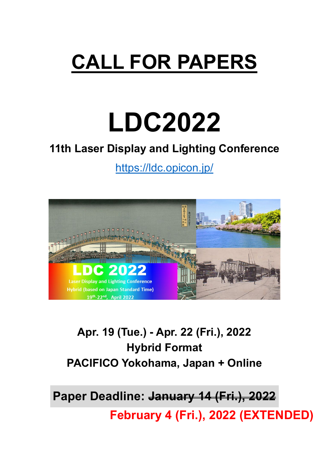## **CALL FOR PAPERS**

# **LDC2022**

### **11th Laser Display and Lighting Conference**

<https://ldc.opicon.jp/>



## **Apr. 19 (Tue.) - Apr. 22 (Fri.), 2022 Hybrid Format PACIFICO Yokohama, Japan + Online**

**Paper Deadline: January 14 (Fri.), 2022**

**February 4 (Fri.), 2022 (EXTENDED)**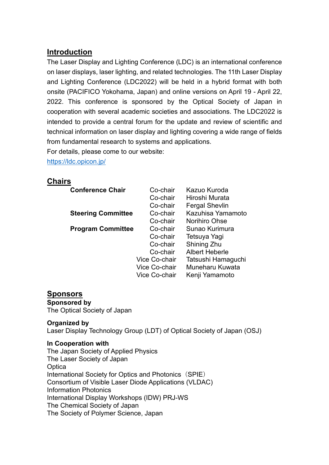#### **Introduction**

The Laser Display and Lighting Conference (LDC) is an international conference on laser displays, laser lighting, and related technologies. The 11th Laser Display and Lighting Conference (LDC2022) will be held in a hybrid format with both onsite (PACIFICO Yokohama, Japan) and online versions on April 19 - April 22, 2022. This conference is sponsored by the Optical Society of Japan in cooperation with several academic societies and associations. The LDC2022 is intended to provide a central forum for the update and review of scientific and technical information on laser display and lighting covering a wide range of fields from fundamental research to systems and applications.

For details, please come to our website:

<https://ldc.opicon.jp/>

#### **Chairs**

| <b>Conference Chair</b>   | Co-chair             | Kazuo Kuroda          |
|---------------------------|----------------------|-----------------------|
|                           | Co-chair             | Hiroshi Murata        |
|                           | Co-chair             | <b>Fergal Shevlin</b> |
| <b>Steering Committee</b> | Co-chair             | Kazuhisa Yamamoto     |
|                           | Co-chair             | Norihiro Ohse         |
| <b>Program Committee</b>  | Co-chair             | Sunao Kurimura        |
|                           | Co-chair             | Tetsuya Yagi          |
|                           | Co-chair             | Shining Zhu           |
|                           | Co-chair             | <b>Albert Heberle</b> |
|                           | Vice Co-chair        | Tatsushi Hamaguchi    |
|                           | <b>Vice Co-chair</b> | Muneharu Kuwata       |
|                           | <b>Vice Co-chair</b> | Kenji Yamamoto        |

#### **Sponsors**

**Sponsored by** The Optical Society of Japan

#### **Organized by**

Laser Display Technology Group (LDT) of Optical Society of Japan (OSJ)

#### **In Cooperation with**

The Japan Society of Applied Physics The Laser Society of Japan **Optica** International Society for Optics and Photonics (SPIE) Consortium of Visible Laser Diode Applications (VLDAC) Information Photonics International Display Workshops (IDW) PRJ-WS The Chemical Society of Japan The Society of Polymer Science, Japan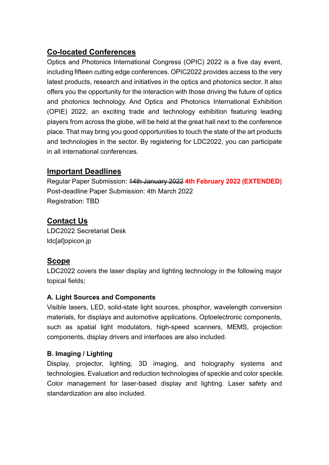#### **Co-located Conferences**

Optics and Photonics International Congress (OPIC) 2022 is a five day event, including fifteen cutting edge conferences. OPIC2022 provides access to the very latest products, research and initiatives in the optics and photonics sector. It also offers you the opportunity for the interaction with those driving the future of optics and photonics technology. And Optics and Photonics International Exhibition (OPIE) 2022, an exciting trade and technology exhibition featuring leading players from across the globe, will be held at the great hall next to the conference place. That may bring you good opportunities to touch the state of the art products and technologies in the sector. By registering for LDC2022, you can participate in all international conferences.

#### **Important Deadlines**

Regular Paper Submission: 14th January 2022 **4th February 2022 (EXTENDED)** Post-deadline Paper Submission: 4th March 2022 Registration: TBD

#### **Contact Us**

LDC2022 Secretariat Desk ldc[at]opicon.jp

#### **Scope**

LDC2022 covers the laser display and lighting technology in the following major topical fields;

#### **A. Light Sources and Components**

Visible lasers, LED, solid-state light sources, phosphor, wavelength conversion materials, for displays and automotive applications. Optoelectronic components, such as spatial light modulators, high-speed scanners, MEMS, projection components, display drivers and interfaces are also included.

#### **B. Imaging / Lighting**

Display, projector, lighting, 3D imaging, and holography systems and technologies. Evaluation and reduction technologies of speckle and color speckle. Color management for laser-based display and lighting. Laser safety and standardization are also included.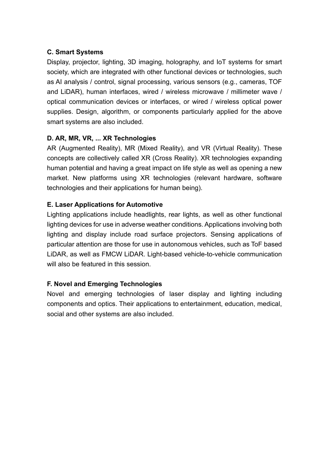#### **C. Smart Systems**

Display, projector, lighting, 3D imaging, holography, and IoT systems for smart society, which are integrated with other functional devices or technologies, such as AI analysis / control, signal processing, various sensors (e.g., cameras, TOF and LiDAR), human interfaces, wired / wireless microwave / millimeter wave / optical communication devices or interfaces, or wired / wireless optical power supplies. Design, algorithm, or components particularly applied for the above smart systems are also included.

#### **D. AR, MR, VR, ... XR Technologies**

AR (Augmented Reality), MR (Mixed Reality), and VR (Virtual Reality). These concepts are collectively called XR (Cross Reality). XR technologies expanding human potential and having a great impact on life style as well as opening a new market. New platforms using XR technologies (relevant hardware, software technologies and their applications for human being).

#### **E. Laser Applications for Automotive**

Lighting applications include headlights, rear lights, as well as other functional lighting devices for use in adverse weather conditions. Applications involving both lighting and display include road surface projectors. Sensing applications of particular attention are those for use in autonomous vehicles, such as ToF based LiDAR, as well as FMCW LiDAR. Light-based vehicle-to-vehicle communication will also be featured in this session.

#### **F. Novel and Emerging Technologies**

Novel and emerging technologies of laser display and lighting including components and optics. Their applications to entertainment, education, medical, social and other systems are also included.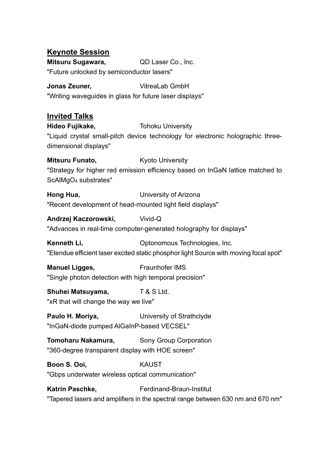#### **Keynote Session**

**Mitsuru Sugawara,** QD Laser Co., Inc. "Future unlocked by semiconductor lasers"

**Jonas Zeuner, Network** VitreaLab GmbH "Writing waveguides in glass for future laser displays"

#### **Invited Talks**

**Hideo Fujikake, Tohoku University** "Liquid crystal small-pitch device technology for electronic holographic threedimensional displays"

**Mitsuru Funato, Kyoto University** "Strategy for higher red emission efficiency based on InGaN lattice matched to ScAlMgO4 substrates"

**Hong Hua,** University of Arizona "Recent development of head-mounted light field displays"

**Andrzej Kaczorowski,** Vivid-Q

"Advances in real-time computer-generated holography for displays"

**Kenneth Li, State Common Controllery Controllering Controllering Kenneth Li, and Controllering Controllering Controllering Controllering Controllering Controllering Controllering Controllering Controllering Controllering** "Etendue efficient laser excited static phosphor light Source with moving focal spot"

**Manuel Ligges, Example Fraunhofer IMS** "Single photon detection with high temporal precision"

#### **Shuhei Matsuyama,** T & S Ltd.

"xR that will change the way we live"

**Paulo H. Moriya, Statiff B. A. Statiff University of Strathclyde** "InGaN-diode pumped AlGaInP-based VECSEL"

**Tomoharu Nakamura, Sony Group Corporation** "360-degree transparent display with HOE screen"

**Boon S. Ooi.** KAUST

"Gbps underwater wireless optical communication"

Katrin Paschke, **Ferdinand-Braun-Institut** "Tapered lasers and amplifiers in the spectral range between 630 nm and 670 nm"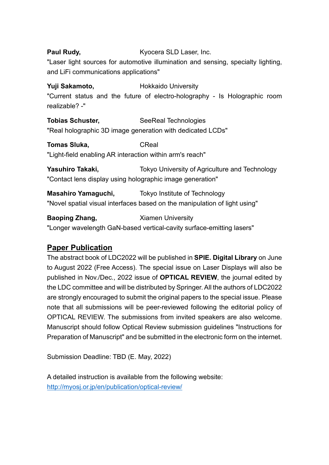#### **Paul Rudy, Edge Represent Control Control Ryocera SLD Laser, Inc.** "Laser light sources for automotive illumination and sensing, specialty lighting, and LiFi communications applications"

**Yuji Sakamoto, New York Hokkaido University** "Current status and the future of electro-holography - Is Holographic room realizable? -"

**Tobias Schuster, SeeReal Technologies** "Real holographic 3D image generation with dedicated LCDs"

**Tomas Sluka.** CReal "Light-field enabling AR interaction within arm's reach"

**Yasuhiro Takaki,** Tokyo University of Agriculture and Technology "Contact lens display using holographic image generation"

**Masahiro Yamaguchi,** Tokyo Institute of Technology "Novel spatial visual interfaces based on the manipulation of light using"

**Baoping Zhang, Stamen University** "Longer wavelength GaN-based vertical-cavity surface-emitting lasers"

#### **Paper Publication**

The abstract book of LDC2022 will be published in **SPIE. Digital Library** on June to August 2022 (Free Access). The special issue on Laser Displays will also be published in Nov./Dec., 2022 issue of **OPTICAL REVIEW**, the journal edited by the LDC committee and will be distributed by Springer. All the authors of LDC2022 are strongly encouraged to submit the original papers to the special issue. Please note that all submissions will be peer-reviewed following the editorial policy of OPTICAL REVIEW. The submissions from invited speakers are also welcome. Manuscript should follow Optical Review submission guidelines "Instructions for Preparation of Manuscript" and be submitted in the electronic form on the internet.

Submission Deadline: TBD (E. May, 2022)

A detailed instruction is available from the following website: <http://myosj.or.jp/en/publication/optical-review/>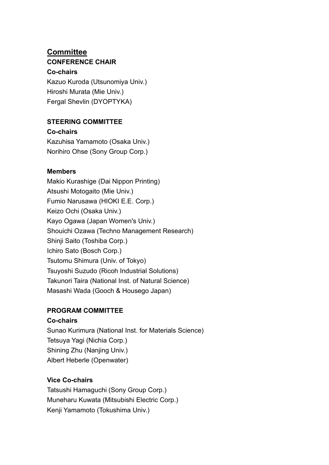#### **Committee CONFERENCE CHAIR**

#### **Co-chairs**

Kazuo Kuroda (Utsunomiya Univ.) Hiroshi Murata (Mie Univ.) Fergal Shevlin (DYOPTYKA)

#### **STEERING COMMITTEE**

**Co-chairs** Kazuhisa Yamamoto (Osaka Univ.) Norihiro Ohse (Sony Group Corp.)

#### **Members**

Makio Kurashige (Dai Nippon Printing) Atsushi Motogaito (Mie Univ.) Fumio Narusawa (HIOKI E.E. Corp.) Keizo Ochi (Osaka Univ.) Kayo Ogawa (Japan Women's Univ.) Shouichi Ozawa (Techno Management Research) Shinji Saito (Toshiba Corp.) Ichiro Sato (Bosch Corp.) Tsutomu Shimura (Univ. of Tokyo) Tsuyoshi Suzudo (Ricoh Industrial Solutions) Takunori Taira (National Inst. of Natural Science) Masashi Wada (Gooch & Housego Japan)

#### **PROGRAM COMMITTEE**

#### **Co-chairs**

Sunao Kurimura (National Inst. for Materials Science) Tetsuya Yagi (Nichia Corp.) Shining Zhu (Nanjing Univ.) Albert Heberle (Openwater)

#### **Vice Co-chairs**

Tatsushi Hamaguchi (Sony Group Corp.) Muneharu Kuwata (Mitsubishi Electric Corp.) Kenji Yamamoto (Tokushima Univ.)